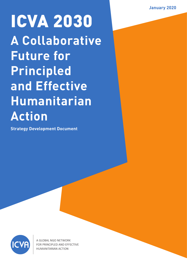# ICVA 2030 **A Collaborative Future for Principled and Effective Humanitarian Action**

**Strategy Development Document** 



A GLOBAL NGO NETWORK ED AND EFFECTIVE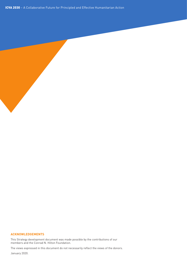ICVA 2030 – A Collaborative Future for Principled and Effective Humanitarian Action

#### **ACKNOWLEDGEMENTS**

This Strategy development document was made possible by the contributions of our members and the Conrad N. Hilton Foundation.

The views expressed in this document do not necessarily reflect the views of the donors.

January 2020.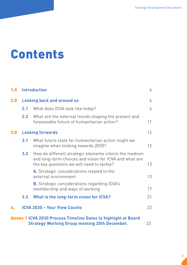### Contents

| 1.0 |                  | <b>Introduction</b>                                                                                                                                          | 4              |
|-----|------------------|--------------------------------------------------------------------------------------------------------------------------------------------------------------|----------------|
| 2.0 |                  | <b>Looking back and around us</b>                                                                                                                            | $\overline{6}$ |
|     | 2.1              | What does ICVA look like today?                                                                                                                              | 6              |
|     | 2.2              | What are the external trends shaping the present and<br>foreseeable future of humanitarian action?                                                           | 11             |
| 3.0 |                  | <b>Looking forwards</b>                                                                                                                                      | 12             |
|     | 3.1              | What future state for humanitarian action might we<br>imagine when looking towards 2030?                                                                     | 12             |
|     | 3.2 <sub>2</sub> | How do different strategic elements inform the medium<br>and long-term choices and vision for ICVA and what are<br>the key questions we will need to tackle? | 13             |
|     |                  | A. Strategic considerations related to the<br>external environment                                                                                           | 13             |
|     |                  | <b>B.</b> Strategic considerations regarding ICVA's<br>membership and ways of working                                                                        | 17             |
|     | 3.3              | What is the long-term vision for ICVA?                                                                                                                       | 21             |
| 4.  |                  | <b>ICVA 2030 - Your View Counts</b>                                                                                                                          | 22             |
|     |                  | <b>Annex 1 ICVA 2030 Process Timeline Dates to highlight at Board</b><br><b>Strategy Working Group meeting 20th December.</b>                                | 23             |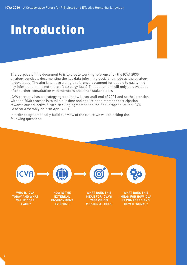# Introduction

The purpose of this document to is to create working reference for the ICVA 2030 strategy concisely documenting the key data informing decisions made as the strategy is developed. The aim is to have a single reference document for people to easily find key information; it is not the draft strategy itself. That document will only be developed after further consultation with members and other stakeholders

ICVA currently has a strategy agreed that will run until end of 2021 and so the intention with the 2030 process is to take our time and ensure deep member participation towards our collective future, seeking agreement on the final proposal at the ICVA General Assembly on 27th April 2021.

In order to systematically build our view of the future we will be asking the following questions:

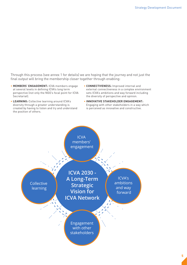Through this process (see annex 1 for details) we are hoping that the journey and not just the final output will bring the membership closer together through enabling:

- **MEMBERS' ENGAGEMENT:** ICVA members engage at several levels in defining ICVA's long term perspective (not only the NGO's focal point for ICVA Secretariat).
- **LEARNING:** Collective learning around ICVA's diversity through a greater understanding is created by having to listen and try and understand the position of others.
- **CONNECTIVENESS:** Improved internal and external connectiveness in a complex environment sets ICVA's ambitions and way forward including the diversity of perspective and opinion.
- **INNOVATIVE STAKEHOLDER ENGAGEMENT:** Engaging with other stakeholders in a way which is perceived as innovative and constructive.

ICVA members' engagement

Collective learning

**ICVA 2030 - A Long-Term Strategic Vision for ICVA Network**

ICVA's ambitions and way forward

Engagement with other stakeholders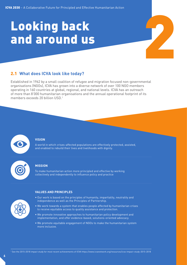# Looking back and around us

#### 2.1 **What does ICVA look like today?**

Established in 1962 by a small coalition of refugee and migration focused non-governmental organisations (NGOs), ICVA has grown into a diverse network of over 100 NGO members operating in 160 countries at global, regional, and national levels. ICVA has an outreach of more than 8'000 humanitarian organisations and the annual operational footprint of its members exceeds 20 billion USD.1



#### **VISION**

A world in which crises-affected populations are effectively protected, assisted, and enabled to rebuild their lives and livelihoods with dignity.

#### **MISSION**

To make humanitarian action more principled and effective by working collectively and independently to influence policy and practice



#### **VALUES AND PRINCIPLES**

- Our work is based on the principles of humanity, impartiality, neutrality and independence as well as the Principles of Partnership.
- We work towards a system that enables people affected by humanitarian crises to receive equitable access to quality assistance and protection.
- We promote innovative approaches to humanitarian policy development and implementation, and offer evidence-based, solutions-oriented advocacy.
- We promote equitable engagement of NGOs to make the humanitarian system more inclusive.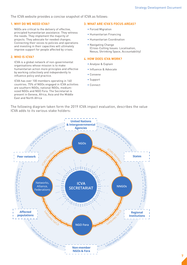#### The ICVA website provides a concise snapshot of ICVA as follows:

#### **1. WHY DO WE NEED ICVA?**

NGOs are critical to the delivery of effective, principled humanitarian assistance. They witness the needs. They implement the majority of projects. They advocate for needed changes. Connecting their voices to policies and operations and investing in their capacities will ultimately improve support for people affected by crises.

#### **2. WHO IS ICVA?**

ICVA is a global network of non-governmental organisations whose mission is to make humanitarian action more principles and effective by working collectively and independently to influence policy and practice.

ICVA has over 100 members operating in 160 countries. 75% of NGOs engaged in ICVA activities are southern NGOs, national NGOs, mediumsized NGOs and NGO Fora. The Secretariat is present in Geneva, Africa, Asia and the Middle East and North Africa

#### **3. WHAT ARE ICVA'S FOCUS AREAS?**

- Forced Migration
- Humanitarian Financing
- Humanitarian Coordination
- Navigating Change (Cross-Cutting Issues: Localisation, Nexus, Shrinking Space, Accountability)

#### **4. HOW DOES ICVA WORK?**

- Analyse & Explain
- Influence & Advocate
- Convene
- Support
- Connect

The following diagram taken form the 2019 ICVA impact evaluation, describes the value ICVA adds to its various stake holders:

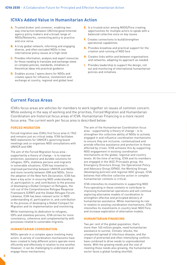#### **ICVA's Added Value in Humanitarian Action**

- A. Trusted broker and convener, enabling twoway interaction between UN/intergovernmental agency policy makers and a broad range of NGOs/Networks, connecting policy to practice and vice versa
- **B.** A truly global network, informing and engaging diverse, and often excluded NGOs in key international policy issues at a high-level
- C. Provides information, analysis and expert resources for those needing to translate and exchange views on complex policies, standards, initiatives or theoretical ideas into practical guidance
- D. Enables access / opens doors for NGOs and creates space for influence, involvement and exchange at country, regional and global level
- E. Is a trusted actor among NGOS/Fora creating opportunities for multiple actors to speak with a balanced collective voice on key issues
- F. Creates connections to build/strengthen operational capabilities
- G. Provides knowhow and practical support for the creation and running of NGO fora
- H. Creates links within and between organisations and networks, adapting its approach as needed
- **I.** Provides leadership to support the design, roll out and monitoring of international humanitarian policies and initiatives

#### **Current Focus Areas**

ICVA's focus areas are vehicles for members to work together on issues of common concern. While evolving in the way of working and the priorities, Forced Migration and Humanitarian Coordination are historical focus areas of ICVA. Humanitarian Financing is a more recent focus area. The current work per focus area is described below:

#### **FORCED MIGRATION**

Forced migration was ICVA's first focus area in 1962 and remains just as critical today. ICVA facilitates NGO statements for UNHCR's governing board meetings and co-organises NGO consultations with UNHCR and IOM.

The aim of the Forced Migration focus area supported by a theory of change - is to improve protection, assistance and durable solutions for refugees, IDPs, stateless persons and migrants in vulnerable situations. ICVA has invested in improved partnership between UNHCR and NGOs and more recently between IOM and NGOs. Since the adoption of the New York Declaration, ICVA has been a key actor in ensuring NGO understanding of, participation in, and contribution to the process of developing a Global Compact on Refugees, the roll-out of the Comprehensive Refugee Response Framework (CRRF) and the Global Refugee Forum. Likewise, ICVA has been relevant actor in NGO understanding of, participation in, and contribution to the process of developing a Global Compact for Migration and its implementation and monitoring.

While maintaining its dedication to refugees, IDPs and stateless persons, ICVA strives for more consistency, coherence and complementarity with processes related to vulnerable migrants.

#### **HUMANITARIAN COORDINATION**

NGOs operate in a complex space involving many actors. A variety of coordination mechanisms have been created to help different actors operate more efficiently and effectively in relation to one another. However, it can be challenging to understand and engage these mechanisms.

The aim of the Humanitarian Coordination focus area - supported by a theory of change - is to strengthen the collective ability of NGOs to actively engaged in and influence coordination mechanisms to ensure they are inclusive, contextualised and provide effective assistance and protection to those affected by crises. ICVA achieves this by supporting NGO engagement in existing coordination mechanisms at the global, regional and country levels. At the time of writing, ICVA and its members are engaged in the IASC Principals group, the Emergency Directors Group, the Operational Policy and Advocacy Group (OPAG), the Working Groups (developing policies) and regional IASC groups. ICVA believes that effective collective action in complex humanitarian contexts is critical.

ICVA intensifies its investments in supporting NGO Fora operating in these contexts to contribute to improving humanitarian operations and will continue exploring alternative models of coordination to strengthen effective and principled delivery of humanitarian assistance. While maintaining its role in relation to existing coordination mechanisms, ICVA intensifies its investments in country level NGO Fora and increase exploration of alternative models.

#### **HUMANITARIAN FINANCING**

Two per cent of the global population, that's more than 160 million people, need humanitarian assistance to survive. Climatic shocks, the unexpected spread of infectious disease, and the impact of protracted and often intensifying conflicts have combined to drive needs to unprecedented levels. With the growing needs and the cost of meeting those needs also growing, the humanitarian sector faces a global funding shortfall.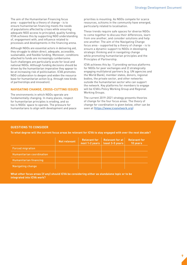The aim of the Humanitarian Financing focus area - supported by a theory of change - is to ensure humanitarian financing meets the needs of populations affected by crises while ensuring adequate NGO access to principled, quality funding. ICVA achieves this by supporting NGO understanding of, engagement with, and influence related to processes and developments in the financing arena.

Although NGOs are essential actors in delivering aid, they struggle to obtain direct, adequate, accessible, sustainable, and flexible funding. Moreover, conditions attached to funds are increasingly cumbersome. Such challenges are particularly acute for local and national NGOs. Although funding decisions should be driven by the humanitarian imperative they appear to be at increasing risk of politicisation. ICVA promotes NGO collaboration to deepen and widen the resource base for humanitarian action (e.g. through new kinds of partnerships and innovation).

#### **NAVIGATING CHANGE, CROSS-CUTTING ISSUES**

The environments in which NGOs operate are fundamentally changing. In many places, respect for humanitarian principles is eroding, and so too is NGOs' space to operate. The pressure for humanitarians to align with development and peace priorities is mounting. As NGOs compete for scarce resources, schisms in the community have emerged, particularly related to localisation.

These trends require safe spaces for diverse NGOs to come together to discuss their differences, learn from one another, and consider solutions and help one another. The aim of the Navigating Change focus area - supported by a theory of change - is to ensure a dynamic support to NGOs in developing strategic thinking and in navigating change while promoting humanitarian principles and the Principles of Partnership.

ICVA achieves this by: 1) providing various platforms for NGOs for peer exchanges and 2) strategically engaging multilateral partners (e.g. UN agencies and the World Bank), member states, donors, regional bodies, the private sector, and other networks outside the humanitarian sector who can support the network. Key platforms for members to engage will be ICVA's Policy Working Group and Regional Working Groups.

The current 2019-2021 strategy presents theories of change for the four focus areas. The theory of change for coordination is given below, other can be seen at (https://www.icvanetwork.org)

#### **QUESTIONS TO CONSIDER**

**To what degree will the current focus areas be relevant for ICVA to stay engaged with over the next decade?**

|                                  | Not relevant | <b>Relevant for</b><br>next 1-2 years | <b>Relevant for at</b><br>least 3-5 years | <b>Relevant for</b><br>10 years |
|----------------------------------|--------------|---------------------------------------|-------------------------------------------|---------------------------------|
| <b>Forced migration</b>          |              |                                       |                                           |                                 |
| <b>Humanitarian coordination</b> |              |                                       |                                           |                                 |
| Humanitarian financing           |              |                                       |                                           |                                 |
| Navigating change                |              |                                       |                                           |                                 |

**What other focus areas (if any) should ICVA be considering either as standalone topic or to be integrated into ICVA work?**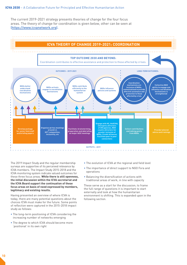The current 2019-2021 strategy presents theories of change for the four focus areas. The theory of change for coordination is given below, other can be seen at (https://www.icvanetwork.org).



The 2019 Impact Study and the regular membership surveys are supportive of its perceived relevance by ICVA members. The Impact Study 2015-2018 and the ICVA monitoring system indicate valued outcomes for these three focus areas. **While there is still openness, the initial discussion within the ICVA secretariat and the ICVA Board support the continuation of these focus areas on basis of need expressed by members, legitimacy and existing results.**

Having presented an overview of where ICVA is today, there are many potential questions about the choices ICVA must make for the future. Some points of reflection were captured in the 2015-2018 impact study as follows:

- The long-term positioning of ICVA considering the increasing number of networks emerging
- The degree to which ICVA should become more 'positional' in its own right
- The evolution of ICVA at the regional and field level
- The importance of direct support to NGO Fora and operations
- Balancing the diversification of actions with traditional areas of work, in line with capacity

These serve as a start for the discussion; to frame the full range of questions it is important to start externally and look at how the humanitarian environment is shifting. This is expanded upon in the following section.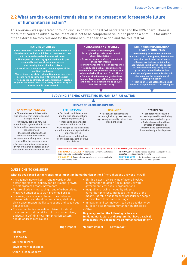#### **2.2 What are the external trends shaping the present and foreseeable future of humanitarian action?**

This overview was generated through discussion within the ICVA secretariat and the ICVA board. There is more that could be added so the intention is not to be comprehensive, but to provide a stimulus for adding other external factors relevant for the future of humanitarian action and the role of ICVA.

NATURE OF CRISES

**• Environmental issues as a direct driver of natural disasters and an indirect driver of manmade crises • A continued massive human cost to war • The impact of shrinking space on the ability to respond to and speak out about crises • Increasing trend of urban crises**

**• Chronic wars have and will remain a part of the political landscape • Wares involving state, international and non-state** 

**actors have become and will remain the norm • The reduced centrality of humanitarian principles to guide response impacts directly on the ability to access populations in need**

INCREASINGLY NETWORKED

**• Actors are diversifying (local, global, private, government, CSOs, big, small etc)**

**• Growing numbers of self-organised mass movements**

**• Trend towards multi-actor approaches • Nobody can do it all, organisations need to be clear on where they can add value and what they need from others • Competition between organisations has positive aspects that push quality and negative as each looks to ensure their own sustainability**

#### SHRINKING HUMANITARIAN SPACE / PRINCIPLES

**• Increasingly blurred lines between humanitarian actions, peace, development and other political or social goals • Donors are looking for joined up approaches to initiatives they support at times undermining the space for principled humanitarian action • Absence of governmental leadership championing the importance of principled action • Rising non-state actors that do not know or accept humanitarian principles**

#### **EVOLVING TRENDS AFFECTING HUMANITARIAN ACTION**

#### **ENVIRONMENTAL ISSUES**

**•** Climate issues a driver in the rise of social movements around a single cause • Difficulty defining how the humanitarian system should adapt

to best address root causes and consequences • Disconnect between those

who are the main cause of environmental change and those who suffer the consequences

• Environmental issues as a direct driver of natural disasters and an indirect driver of man-made crises

#### IMPACT OF MACRO DISRUPTORS

#### **SHIFTING POWER**

**•** Decline in multilateralism and the rise of nationalism (trend or pendulum?) • Increasing demands for accountability for action

• Challenges to the traditional establishment and a polarization

- of perspectives • Trend towards valuing local connectedness. Both positive
- and divisive

#### **INEQUALITY**

**•** Paradox of economic and technological progress leading to growing inequality rather than closing the gap

#### **TECHNOLOGY**

• Technology can result in increasing as well as reducing communication challenges

• Technology enables those affected by crisis to be informed and communicate independently – this is power

#### **MACRO DISRUPTORS AFFECTING ALL SECTORS (CIVIL SOCIETY, GOVERNMENT, PRIVATE, INDIVIDUAL)**

**ENVIRONMENTAL CHANGE >** Addressing environmental change is an existential challenge for humanity

**INEQUALITY → Economic and social progress paradoxically** increasing inequality

**TECHNOLOGY >** Technological advance can rapidly make accepted practice / models obsolete **SHIFTING POWER >** Shifting global and local power is fundamentally changing how things get done

#### **QUESTIONS TO CONSIDER**

**What do you regard as the trends most impacting humanitarian action?** (more than one answer allowed)

- Increasingly networked trend towards multisector approaches, nobody can do it alone, growth
- massive human cost to war, prolonged crises,
- humanitarian and development actors, shrinking about crises
- Environmental issues direct driver of natural
- Shifting power -diversifying of actors involved
- Inequality- growing inequality triggers to move from their home settings
- but it can also threaten humanitarian principles
- Other

**Do you agree that the following factors are fundamental factors or disruptors that have a radical impact, positive and negative on humanitarian action?**

|                              | <b>High impact</b> | <b>Medium impact</b> | Low impact |
|------------------------------|--------------------|----------------------|------------|
| <b>Inequality</b>            |                    |                      |            |
| Technology                   |                    |                      |            |
| <b>Shifting powers</b>       |                    |                      |            |
| <b>Environmental changes</b> |                    |                      |            |
| Other-please specify         |                    |                      |            |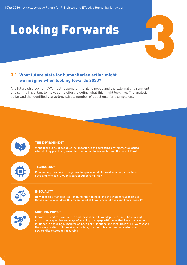# 3 Looking Forwards

#### 3.1 **What future state for humanitarian action might we imagine when looking towards 2030?**

Any future strategy for ICVA must respond primarily to needs and the external environment and so it is important to make some effort to define what this might look like. The analysis so far and the identified **disruptors** raise a number of questions, for example on…



While there is no question of the importance of addressing environmental issues, what do they practically mean for the humanitarian sector and the role of ICVA?

#### **TECHNOLOGY**

If technology can be such a game-changer what do humanitarian organisations need and how can ICVA be a part of supporting this?



#### **INEQUALITY**

How does this manifest itself in humanitarian need and the system responding to those needs? What does this mean for what ICVA is, what it does and how it does it?



#### **SHIFTING POWER**

If power is, and will continue to shift how should ICVA adapt to insure it has the right structures, capacities and ways of working to engage with those that have the greatest influence in ensuring humanitarian needs are identified and met? How will ICVA respond the diversification of humanitarian actors, the multiple coordination systems and powershifts related to resourcing?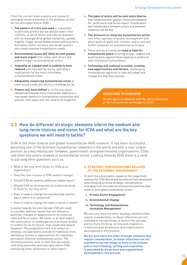From the current state analysis and review of emerging trends presented in the previous section we can anticipate that in 2030:

- 1. **The pattern of crisis and need** is impossible to precisely predict but we should expect that conflicts, in all its forms and natural disasters will increasingly drive global instability, spread fragility, trigger forced displacement and long-term disruption within societies and social systems and create massive humanitarian needs.
- 2. **Environmental issues will likely be even greater and more urgent** than today, with direct and indirect impact on humanitarian action
- 3. **Inequality on a global level is unlikely to have reduced** and may well be worse, with direct implications for the most vulnerable in humanitarian crises
- 4. **Adequately resourcing humanitarian action** to meet actual needs will still be a challenge for all.
- **5. Powers will have shifted** or at the very least rebalanced towards more local power leading to a new power balance in humanitarian institutions and policies. Civic space will still need to be fought for.
- 6. **The types of actors will be even more diverse** than today and with greater interaction between for- profit work and social impact. Coordination and collaboration between actors and between networks will be key.
- 7. **The pressure to integrate humanitarian action** into other agendas of peace, development and other political goals will increase, and in turn put further pressure on humanitarian principles.
- 8. There will be a continued **need to fight for humanitarian space** ensuring access, respect and pushing back against those seeking to politicise and criminalise humanitarian
- 9. **Technology will continue to evolve, creating new opportunities and threats**, challenging humanitarian agencies to radically adapt and change the way they operate.

#### **QUESTIONS TO CONSIDER**

Do you agree or disagree with the above scenarios of the humanitarian landscape in 2030?

#### 3.2 **How do different strategic elements inform the medium and long-term choices and vision for ICVA and what are the key questions we will need to tackle?**

ICVA is the most diverse and global humanitarian NGO network. It has been successful, becoming one of the foremost humanitarian networks in the world and with a near unique position as a key interlocutor between, government, intergovernmental organisations, CSOs and other key actors involved in humanitarian action. Looking towards 2030 there is a need to ask long term questions such as:

- What is the long-term Vision for ICVA as an organisation?
- Does the core mission of ICVA need to change?
- Should ICVA be seeking additional added value?
- Should ICVA be sticking with its traditional areas of focus for the long term?
- Does it need to change the membership and the way in which it is composed?
- Does it need to change the ways in which it works?

Looking towards the next decade ICVA will need to consider external trends that can influence potential changes or adaptations to its historical roles and focus areas. We know, or at least expect the continuation of challenges such as those related to conflict (in all its forms), man-made and natural disasters. The proposition here is to reflect on strategic considerations outside of traditional lines, identifying threats or opportunities for improving principled, effective humanitarian action. The following sections seek to start this discussion reflecting externally and internally within ICVA, welcoming other reflections on other topics.

#### **A. STRATEGIC CONSIDERATIONS RELATED TO THE EXTERNAL ENVIRONMENT**

To start this conversation, based on the mega trend analysis the ICVA Board and Secretariat have developed some thinking on three strategic considerations emerging from the external environment and how they relate to principled humanitarian action.

- **i. Private Sector Engagement**
- **ii. Environmental Change**
- **iii. Technology and Humanitarian Innovation Management**

We are sure there are other strategic elements that require consideration, so these reflections are not intended to narrow things so early in the process and so more thinking, writing and inspiration is welcomed by all persons and organisations participating in this process.

**We are sure there are other strategic elements that require consideration, so these reflections are not intended to narrow things so early in the process and so more thinking, writing and inspiration is welcomed by all persons and organisations participating in this process.**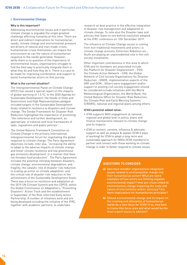#### **i. Environmental Change**

#### **Why is this important?**

Addressing environmental issues and in particular, climate change is arguably the single greatest challenge affecting humanity at this time. There are direct and indirect implications for humanitarian needs; climate change and environmental pressure are drivers of natural and man-made crises; humanitarian crises themselves can impact the environment as can the nature of humanitarian response to the needs generated. However, while there is no question of the importance of environmental issues, organisations struggle to find the best way to practically integrate them in what they do and how they do it. There is a case to be made for improving coordination and support to assist humanitarian actors on this journey.

#### **What is the current situation?**

The Intergovernmental Panel on Climate Change (IPCC) has issued a special report on the impacts of global warming of 1.5 ºC. In the 2030 Agenda for Sustainable Development, the Heads of State and Government and High Representatives pledged included targets in the Sustainable Development Goals related to resilience to disasters and climate change. The Sendai Framework for Disaster Risk Reduction highlighted the importance of promoting "the coherence and further development, as appropriate, of national and local frameworks of laws, regulations and public policies".

The United Nations Framework Convention on Climate Change is the primary international, intergovernmental forum for negotiating the global response to climate change. The Paris Agreement objectives include, inter alia, "increasing the ability to adapt to the adverse impacts of climate change and foster climate resilience and low greenhouse gas emissions development, in a manner that does not threaten food production". The Paris Agreement includes the potential interplay between disasters, climate change, environmental degradation, and fragility, the catalytic role of disaster risk reduction in scaling up action on climate adaptation, and the critical role of disaster risk reduction in the achievement of the Sustainable Development Goals. There was a focus on resilience and adaptation at the 2019 UN Climate Summit and the COP25, within the Global Commission on Adaptation's "Preventing Disasters" Action Track and the establishment in September of the Risk-Informed Early Action Partnership. A number of initiatives exist and are being developed including the initiative of the IFRC, together with academic partners, to undertake

research on best practice in the effective integration of disaster risk management and adaptation to climate change. To note also the Disaster laws and policies that leave no one behind resolution adopted at the IFRC conference on 12th December 2019.

The influence on Climate Change issues is coming from non-traditional movements and actors i.e. climate change activists, Extinction Rebellion etc… Youth are playing an unprecedented role in the civil society movements.

Other important contributions in this area to which ICVA and its members are associated include the Platform for Disaster Displacement - PDD, the Climate Action Network - CAN, the Global Network of Civil Society Organisations for Disaster Reduction - GNDR, implementation aspects of the GRF and GCM… Others were engagement and/or support to existing civil society engagement should be considered include initiatives with the World Meteorological Organization, the World Bank, the United Nations Office for Disaster Risk Reduction, the Climate Risk and Early Warning Systems (CREWS), national and regional plans among others.

#### **ICVA's potential added value:**

- ICVA supports NGO engagement at national, regional and global level in policy, plans and finance mechanisms relevant to climate change and its impacts
- ICVA to connect, convene, influence & advocate, support as well as analyse & explain (ICVA 5 ways of working) for ICVA to adopt a long-term and sustainable approach for NGOs (ICVA members) to partner and connect with those working on climate change in order to better respond to climate issues.

- a) How have member organisations integrated issues related to environmental change into their humanitarian action? What are some examples of how actors are limiting negative environmental impact? How are crises linked to environmental change impacting the scale and nature of interventions and/or advocacy? Are there implications for humanitarian principles?
- b) Should environmental change and its impact on the creating and alleviation of humanitarian needs be a core focus for ICVA? If so, how best to frame that focus area and what would be the most urgent issues to address?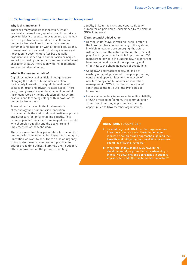#### **ii. Technology and Humanitarian Innovation Management**

#### **Why is this important?**

There are many aspects to innovation, what it practically means for organisations and the risks or opportunities it presents. Innovation and technology can be a positive force, but it can also threaten humanitarian principles through (for example) dehumanising interaction with affected populations. Humanitarian actors need to find ways to embrace innovation to become more flexible and agile organisations, adhering to humanitarian principles and without losing the human, personal and informal character of NGOs interaction with the populations and communities affected.

#### **What is the current situation?**

Digital technology and artificial intelligence are changing the nature of humanitarian action, particularly in relation to digital dimensions of protection, trust and privacy-related issues. There is a growing awareness of the risks and potential harm generated by the introduction of new actors, products and technology along with 'innovation' to humanitarian settings.

Stakeholder inclusion in the implementation of technology and humanitarian innovation management is the main and most positive approach and necessary factor for enabling equality. This includes people who suffer from inequalities, people who champion equality and the designers and implementers of the technology.

There is a need for clear parameters for the kind of humanitarian innovation going beyond technological innovation we want to see. There's also an urgency to translate these parameters into practice, to address real-time ethical dilemmas and to support ethical innovation 'on the ground'. Enabling

equality links to the risks and opportunities for humanitarian principles underpinned by the risk for NGOs to operate.

#### **ICVA's potential added value**

- Relying on its "ways of working" seek to offer to the ICVA members understanding of the systems in which innovations are emerging, the actors within them, and the nature of the relationships at play. Such 'systems curiosity' is important for ICVA members to navigate the uncertainty, risk inherent to innovation and respond more promptly and effectively to the changing needs of populations.
- Using ICVA's outreach capacity, on basis of existing work, adopt a set of Principles promoting equal global opportunities for the delivery of new technology and humanitarian innovation management. ICVA's broad constituency would contribute to the roll out of the Principles of Innovation.
- Leverage technology to improve the online visibility of ICVA's messaging/content, the communication streams and learning opportunities offering opportunities to ICVA member organisations.

- a) To what degree do ICVA member organisations invest in a practice and culture that enables innovative solutions and approaches; gaining the benefits and mitigating the risks? What are some examples of such strategies?
- b) What role, if any, should ICVA have in the development of, or promoting cross-learning of innovative solutions and approaches in support of principled and effective humanitarian action?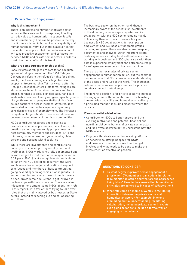#### **iii. Private Sector Engagement**

#### **Why is this important?**

There is an increasing number of private sector actors, in their various forms exploring how they can add value to humanitarian response, locally and internationally. This can be positive in the way that it offers a boost to humanitarian capability and humanitarian delivery, but there is also a risk that this undermines principled humanitarian action. It will take proactive engagement and collaboration between NGOs and private sector actors in order to maximize the benefits of this trend.

#### **What are some current examples of this?**

Labour rights of refugees are core for an adequate system of refugee protection. The 1951 Refugee Convention refers to the refugee's rights for gainful employment and creating also a legal basis to support entrepreneurship. Yet many years after the Refugee Convention entered into force, refugees are still often excluded from labour markets and face other hindrances to enjoy dignified labour and gain sustainable incomes. Among refugees, specific groups like youth, women or people with disabilities face double barriers to access incomes. Often refugees are hosted in communities experiencing already considerable levels of unemployment. The increased competition for jobs tends to create social tensions between new-comers and their host communities.

NGOs contribute resources and expertise to promote economic opportunities, decent work, job creation and entrepreneurship programmes for host community members and refugees, IDPs and migrants, including women, young adults, older persons and persons with disabilities

While there are investments and contributions done by NGOs on supporting employment and livelihoods, NGOs work is not fully documented and acknowledged (ie. not mentioned in specific in the GCR para. 70-71). Not enough investment is done so far by the NGO sector to document the work and lessons learnt on job and livelihood support of refugees and members of host communities, going beyond specific agencies. Consequently, in some countries and context, even though there is a need, NGOs remain reluctant to get involved in partnerships with the corporates. There are also misconceptions among some NGOs about their role in this regard, with few of them trying to take over roles that are mainly played by businesses or State actors, instead of reaching out and collaborating with them.

The business sector on the other hand, though increasingly aware of the benefits for investments in this direction, is not always supported and its collaboration with the NGO sector remains mainly to financing their activities. There are few joint business & NGO collaborations, for example on employment and livelihood of vulnerable groups, including refugees. These are also not well mapped, documented and analysed. Other important actors, States agencies, including local authorities are often working with business and NGOs, but rarely with them both in supporting employment and entrepreneurship for refugees and members of host communities.

There are other examples of private sector engagement in humanitarian action, but the common denominator is that NGOs have a poor understanding of the scope and nature of this work. This increases risk and creates missed opportunities for positive collaboration and mutual support.

The general direction is for private sector to increase the engagement with humanitarian NGOs, boosting humanitarian capability and humanitarian delivery in a principled manner, including closer to where the crisis is.

#### **ICVA's potential added value**

- Contribute for NGOs to better understand the evolving motivations and potential financial and non-financial contributions of private sector actors and for private sector to better understand how the NGOs operate.
- Engage with private sector leadership platforms or networks to offer joint space for NGOs and business community to see how best get involved and what needs to be done to make the involvement as effective as possible.

- a) To what degree is private sector engagement a priority for ICVA member organisations in relation to humanitarian action and what are the approaches being taken? How do they ensure that humanitarian principles are adhered to in cases of collaboration?
- b) What role could or should ICVA play in facilitating interaction between the private sector and humanitarian actors? For example, in terms of building mutual understanding, facilitating collaboration, including private sector in events, even going so far as to include a formal way of engaging in the network.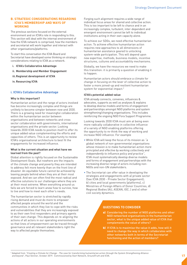#### **B. STRATEGIC CONSIDERATIONS REGARDING ICVA'S MEMBERSHIP AND WAYS OF WORKING**

The previous sections focused on the external environment and on ICVA's role in responding to this. This section will deal with the internal environment of how the ICVA network is comprised, how the members and secretariat will work together and interact with other organisations/platforms.

To start this conversation the ICVA Board and Secretariat have developed some thinking on strategic considerations relating to ICVA as a network.

- **i. ICVA's Collaborative Advantage**
- **ii. Membership and Member Engagement**
- **iii.Regional development of ICVA**
- **iv. Resourcing ICVA**

#### **i. ICVA's Collaborative Advantage**

#### **Why is this important?**

Humanitarian action and the range of actors involved has become increasingly complex and things are unlikely to become simpler between now and 2030. There is a growing need for meaningful collaboration within the humanitarian sector between organisations and between networks and cross sector collaboration with governments, international organisations and the private sector. Looking towards 2030 ICVA needs to position itself to offer its unique added value complementing the efforts and capacities of others. This is an opportunity to review ICVA's organisational architecture to best fit the engagements for increased influence.

#### **What is the current situation and what have we learned from the past?**

Global attention is rightly focused on the Sustainable Development Goals. But nowhere are the impacts of the climate change and poverty they are intended to address felt more keenly than on the front line of disaster. An equitable future cannot be achieved by leaving people behind when they are at their most exposed. And we can often find the most radical and effective solutions to our challenges where they are at their most extreme. When everything around us fails we are forced to learn anew how to survive, how to live and how to meet each other's needs.

The humanitarian sector is stretched by rapidly rising demand and must do more to empower affected people around the world and the communities in which they live to cope with the risks and vulnerabilities that they are increasingly exposed to as their own first responders and primary agents of their own change. This depends on re-aligning the actions of all actors in our operating environments so that lines of empowerment can be traced through governance and all relevant stakeholders right the way to affected people themselves.

Forging such alignment requires a wide range of individual focus areas for shared and collective action. This is too important to be left to chance and in an increasingly complex, turbulent, inter-dependent and emergent environment cannot be left to individual institutions acting in their own capacity alone.

To achieve our SDGs, we need effective humanitarian action. To achieve effective humanitarian action requires new approaches to all dimensions of humanitarian assistance geared to unlocking system-wide participation. This will depend upon new expertise, methods, business models, incentive structures, cultures and accountability mechanisms.

Globally, we have the resources we need to make this transition: it is primarily a question of enabling it to happen.

Humanitarian actors should embrace a climate for change in focusing on the lever of collective action to foster a more joined-up and resilient humanitarian system for exponential impact.2

#### **ICVA's potential added value**

ICVA already connects, convenes, influences & advocates, supports as well as analyses & explains to develop diverse models and forms of engagement and partnerships amongst NGO platforms and system strengthening/changing organisations. This includes reinforcing the ongoing NGO Fora Support Programme.

Looking towards 2030 ICVA must aim at being even more radically collaborative in collective influence of a variety of NGO enabling platforms offering the opportunity to re-think the way of working and increase NGO influence. For example

- While ICVA will keep the focus of its mission as "a global network of non-governmental organisations whose mission is to make humanitarian action more principled and effective by working collectively and independently to influence policy and practice", ICVA must systematically develop diverse models and forms of engagement and partnerships with the increasing diverse range of actors including non-NGOs and non-UN stakeholders.
- The Secretariat can offer value in developing the strategies and engagements with a) private sector (See ICVA 2030 - Private Sector Engagement); b) cities and local governments (platforms), c) Ministries of Foreign Affairs of Donor Countries, d) Regional Bodies (AU, ASEAN, IOC..) and e) other civil society dynamics.

#### **QUESTIONS TO CONSIDER**

- a) Considering the number of NGO platforms and other NGO networked organisations in the humanitarian sector, what is the unique added value of ICVA that complements the value of others?
- b) If ICVA is to maximise the value it adds, how will it need to change the way in which collaborates with other networks both in terms of the Secretariat functioning and the action of members?

<sup>2</sup> Adapted from "Creating a Climate for Change - The case for transforming humanitarian action through the System Strengthening Alliance and beyond", Paul Skinner, October 2019. Commissioned by Start Network, GroundTruth and ICVA.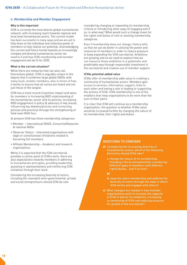#### **ii. Membership and Member Engagement**

#### **Why is this important**

ICVA is currently the most diverse global humanitarian network, with increasing reach towards regional and local level humanitarian actors. The current model has been successful in many ways and we are yet to fully draw on the individual and collective power of members to fully realise our potential. Acknowledging the current and future trends towards an increasingly complex and diverse humanitarian sector we need to if and how ICVA membership and member engagement will be fit for 2030.

#### **What is the current situation?**

While there are networks that can also call themselves global, ICVA is arguably unique to the degree that it combines large global INGOs with many local, smaller members; also in terms of how it works to ensure that all voices are heard and not just those of the largest.

ICVA has a track record of positive impact and value for members in Increasing NGO understanding of the humanitarian sector and its policies; Increasing NGO engagement in policy & advocacy in key issues; Influencing key debates/policies and connecting policies and practices through the strengthening of field-level NGO fora.

At present ICVA has three membership categories:

- Member International NGOS, Consortia/Networks & national NGOs
- Observer Status Interested organisations with legal or constitutional limitations related to becoming full members
- Affiliate Membership Academic and research organisations

While it is expected that the ICVA secretariat provides a centre-point of ICVA's work, there are also expectations towards members in adhering to humanitarian principles, providing leadership, assisting in representations and reinforcing ICVA initiatives through their work.

Considering the increasing diversity of actors, including (for example) semi-governmental, private and social entrepreneurs should ICVA be now

considering changing or expanding its membership criteria or introducing other ways of engaging and if so, in what way? What would such a change mean for the rights and duties of new or existing membership categories.

Even if membership does not change, history tells us that we can do better in utilising the power and resources of members in order to reduce pressure to keep expanding the ICVA secretariat. Ambitions are growing and so we need to explore how we can resource those ambitions in a systematic and predictable way through responsible investment in the secretariat and creative use of member support.

#### **ICVAs potential added value**

ICVAs offer of membership adds value in creating a community of humanitarian actors. Members gain access to services, information, support, links to each other and having a role in leading or supporting the actions of ICVA. ICVA membership is one of the enablers than help organisations to be more than the sum of their parts.

It is clear that ICVA will continue as a membership organisation, the question is whether ICVAs value would be increased further by changing the nature of its membership, their rights and duties.

#### **QUESTIONS TO CONSIDER**

- a) Considering the increasing diversity of humanitarian actors, which of the following directions should ICVA take?
	- i. change the nature of its membership, changing criteria and potentially considering different types of members with different rights/duties… and if so how?

#### or

- ii. keep the same membership and address the diversity of actors through the ways in which ICVA works and engages with others?
- c) What changes are needed in how member organisations work to increase the capacity of ICVA to deliver its ambitions, increasing co-ownership of ICVA and reducing pressure for growth of the secretariat?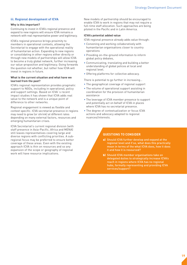#### **iii. Regional development of ICVA**

#### **Why is this important?**

Continuing to invest in ICVA's regional presence and expand to new regions will ensure ICVA remains a network with real representative power and legitimacy.

ICVA's regional presence brings proximity to members in operational contexts, allowing the Secretariat to engage with the operational reality of humanitarian action. Expanding to new regions or consolidating in other regions either directly or through new models of partnerships will allow ICVA to become a truly global network, further increasing our value-proposition and legitimacy. Going forwards the question not whether, but rather how ICVA will invest in regions in future.

#### **What is the current situation and what have we learned from the past?**

ICVA's regional representation provides pragmatic support to NGOs, including in operational, policy and support settings. Based on ICVA`s recent impact studies it has shown that ICVA adds real value to the network and is a unique point of difference to other networks.

Regional engagement is viewed as flexible and context specific. ICVA secretariat presence in regions may need to grow (or shrink) at different rates depending on many external factors, resources and emerging humanitarian crises.

ICVA Secretariat's current regional division (with staff presence in Asia-Pacific, Africa and MENA) still leaves representatives covering large and diverse regions with conflicting priorities. A subregional focus may be preferred to ensure better coverage of these areas. Even with the existing approach ICVA is thin on resources and so any expansion of the scope or geography of regional work will have resource implications.

New models of partnership should be encouraged to enable ICVA to work in regions that may not require a full-time staff allocation. Such approaches are being piloted in the Pacific and in Latin America.

#### **ICVA's potential added value**

ICVA regional presence already adds value through:

- Convening and working collaboratively with humanitarian organisations closer to country operations
- Providing on–the-ground information to inform global policy debates,
- Communicating, translating and building a better understanding of global polices at local and regional level.
- Offering platforms for collective advocacy.

There is potential to go further in increasing…

- The geographical coverage of regional support
- The volume of operational support assisting in coordination for the provision of humanitarian assistance
- The leverage of ICVA member presence to support and potentially act on behalf of ICVA in places where ICVA has no secretariat presence.
- The degree of contextualization or focus ICVA actions and advocacy adapted to regional nuances/interests.

- a) Should ICVA further develop and expand at the regional level and if so, what does this practically mean in terms of the what ICVA does, how it does it and how it is resourced?
- **b)** Should ICVA member organisations take on delegated duties to strategically increase ICVA's reach in regions where ICVA has no regional hubs, formally representing and providing ICVA services/support?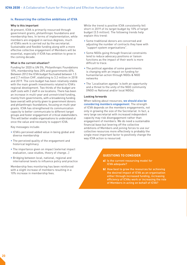#### **iv. Resourcing the collective ambitions of ICVA**

#### **Why is this important**

At present, ICVA is primarily resourced through government grants, philanthropic foundations and membership fees. In terms of implementation, while members are engaged in various degrees, much of ICVA's work is carried out by the secretariat. Sustainable and flexible funding along with a more effective collective engagement of Members will be essential, especially if ICVA has ambition to grow in the coming decade.

#### **What is the current situation?**

Funding for 2020 is UN 5%, Philanthropic Foundations 10%, membership fees 20% and governments 65%. Between 2012 the ICVA budget fluctuated between 1.5 and 2.7 million CHF, stabilizing to 3.2 million in 2018 and 2019. The core budget has been relatively stable with the main growth investments related to ICVA's regional development. Two thirds of the budget are staff costs with 2 staff in six locations. There has been an increase in multi-year and unrestricted funding, mainly from governments, with a broadening funding base overall with priority given to government donors and philanthropic foundations, focusing on multi-year grants. ICVA has strengthened its communication capacity to better communicate to different target groups and foster engagement of critical stakeholders. This will better enable organisations to understand at once the value and necessity to support ICVA.

Key messages include:

- ICVA's perceived added value in being global and diverse membership
- The perceived quality of the engagement and historical legitimacy
- The importance given on impact (external impact evaluation, case studies, theory of change…)
- Bridging between local, national, regional and international levels to influence policy and practice

Membership fees monitoring has been reinforced with a slight increase of members resulting in a 10% increase in membership fees.

While the trend is positive ICVA consistently fell short in 2019 of its target budget by 10% of target budget (3.5 million). The following trends help explain this trend:

- Some traditional donors are concerned and adjusting the number of contracts they have with "support system organisations".
- Some NGOs going through financial constraints tend to reduce advocacy positions or liaison functions as the impact of their work is more difficult to trace.
- The political agendas of some governments is changing with an impact on funding for humanitarian action through NGOs & NGO networks
- The 'Localisation agenda' is both an opportunity and a threat to the unity of the NGO community (INGO vs National and/or local NGOs).

#### **Looking forwards**

When talking about resources, **we should also be considering members engagement**. The strength of ICVA depends on the members engagements, not only in growing the size of the Secretariat. In fact, a very large secretariat with increased independent capacity may risk disengagement rather than engagement of members. We do need a sustainable financial base but levering off the collective ambitions of Members and joining forces to use our collective resources more effectively is probably the single most important factor to positively change the way ICVA action is resourced.

- a) Is the current resourcing model for ICVA adequate?
- b) How best to grow the resources for achieving the desired impact of ICVA as an organisation either through increased funding, increasing efficiency of ICVAs work or increasing the role of Members in acting on behalf of ICVA?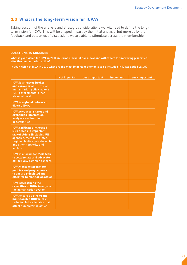#### 3.3 **What is the long-term vision for ICVA?**

Taking account of the analysis and strategic considerations we will need to define the longterm vision for ICVA. This will be shaped in part by the initial analysis, but more so by the feedback and outcomes of discussions we are able to stimulate across the membership.

#### **QUESTIONS TO CONSIDER**

**What is your vision for ICVA in 2030 in terms of what it does, how and with whom for improving principled, effective humanitarian action?** 

**In your vision of ICVA in 2030 what are the most important elements to be included in ICVAs added value?**

| <b>ICVA is a trusted broker</b><br>and convener of NGOS and<br>humanitarian policy makers<br>(UN, governments, other<br><b>stakeholders</b><br>ICVA is a global network of<br>diverse NGOs<br>ICVA produces, shares and<br>exchanges information,<br>analyses and learning<br>opportunities<br><b>ICVA facilitates increased</b><br><b>NGO access to important</b><br>stakeholders (including UN<br>agencies, members states,<br>regional bodies, private sector,<br>and other networks and<br>sectors)<br>ICVA is a forum for members<br>to collaborate and advocate<br>collectively common concern<br>ICVA works to strengthen<br>policies and programmes<br>to ensure principled and<br>effective humanitarian action<br><b>ICVA strengthens the</b><br>capacities of NGOs to engage in<br>the humanitarian system<br>ICVA ensures a strong and<br>multi faceted NGO voice is<br>reflected in key debates that<br>affect humanitarian action | <b>Not important</b> | <b>Less Important</b> | Important | <b>Very Important</b> |
|-------------------------------------------------------------------------------------------------------------------------------------------------------------------------------------------------------------------------------------------------------------------------------------------------------------------------------------------------------------------------------------------------------------------------------------------------------------------------------------------------------------------------------------------------------------------------------------------------------------------------------------------------------------------------------------------------------------------------------------------------------------------------------------------------------------------------------------------------------------------------------------------------------------------------------------------------|----------------------|-----------------------|-----------|-----------------------|
|                                                                                                                                                                                                                                                                                                                                                                                                                                                                                                                                                                                                                                                                                                                                                                                                                                                                                                                                                 |                      |                       |           |                       |
|                                                                                                                                                                                                                                                                                                                                                                                                                                                                                                                                                                                                                                                                                                                                                                                                                                                                                                                                                 |                      |                       |           |                       |
|                                                                                                                                                                                                                                                                                                                                                                                                                                                                                                                                                                                                                                                                                                                                                                                                                                                                                                                                                 |                      |                       |           |                       |
|                                                                                                                                                                                                                                                                                                                                                                                                                                                                                                                                                                                                                                                                                                                                                                                                                                                                                                                                                 |                      |                       |           |                       |
|                                                                                                                                                                                                                                                                                                                                                                                                                                                                                                                                                                                                                                                                                                                                                                                                                                                                                                                                                 |                      |                       |           |                       |
|                                                                                                                                                                                                                                                                                                                                                                                                                                                                                                                                                                                                                                                                                                                                                                                                                                                                                                                                                 |                      |                       |           |                       |
|                                                                                                                                                                                                                                                                                                                                                                                                                                                                                                                                                                                                                                                                                                                                                                                                                                                                                                                                                 |                      |                       |           |                       |
|                                                                                                                                                                                                                                                                                                                                                                                                                                                                                                                                                                                                                                                                                                                                                                                                                                                                                                                                                 |                      |                       |           |                       |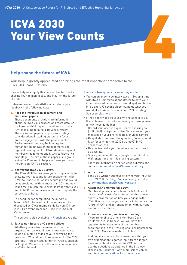# ICVA 2030<br>Your View Counts Your View Counts

#### **Help shape the future of ICVA**

Your help is greatly appreciated and brings the most important perspective to the ICVA 2030 consultations.

Please help us amplify this perspective further by sharing your opinion, ideas, and input on the future of ICVA.

Between now and July 2020 you can share your feedback in the following ways:

#### 1. **Read the introduction document and discussion papers:**

These documents provide more information about the ICVA 2030 process and more detailed background thinking and questions as to why ICVA is looking to build a 10-year strategy. The discussion papers propose six strategic considerations including our current focus areas: Engagement with the private sector; Environmental change; Technology and humanitarian innovation management; The regional development of ICVA; Membership and member engagement; and ICVA's collaborative advantage. The aim of these papers is to give a vision for ICVA and to help you frame your own thoughts on ICVA's direction.

#### 2. **Answer the ICVA 2030 Survey:**

The ICVA 2030 Survey gives you an opportunity to evaluate your past and future engagement with ICVA. Your participation is encouraged and would be appreciated. With no more than 20 minutes of your time, you can tell us what is important to you and to NGO humanitarian action. To complete the survey, click [here](https://www.surveymonkey.com/r/SWG8W8N).

The deadline for completing the survey is 11 March 2020. The results of the survey will be discussed at ICVA's membership Day on 17 March 2020. This event precedes ICVA's 2020 Annual Conference.

The survey is also available in **[French](https://www.surveymonkey.com/r/SWZBWYB)** and Arabic.

#### 3. **Talk to us – Record a 90 second video:**

Whether you are from a member or partner organisation, we would love to hear your voice. To do so, submit a video of you answering the question, "What should ICVA focus on for the 2030 strategy?" You can talk in French, Arabic, Spanish or English. We will share the videos online on our YouTube channel.

#### There are two options for recording a video:

- You can arrange to be interviewed— Set up a time with ICVA's Communications Officer to have your input recorded (in person or over skype) and turned into a short 90 second video telling us what you would like ICVA to focus on in our 2030 strategy. See examples [here](https://www.youtube.com/playlist?list=PLkjmjbUT7uk_tLDS5W0O-6HaOCm5JaLFu).
- Film a short video on your own and send it to us. If you choose to record a video on your own, please follow these quidelines:
- Record your video in a quiet space, ensuring no (or limited) background noise. You can record your message on your phone, laptop, or video camera.
- Keep it short. Answer the question, "What should ICVA focus on for the 2030 Strategy?" in 90 seconds or less.
- Be concise. Make your input as clear and direct as possible.
- Share your video through google drive, Dropbox, WeTransfer or other file sharing system.

For more information and for video submissions contact: [communications@icvanetwork.org](mailto:communications%40icvanetwork.org?subject=)

#### 4. **Write to us:**

Send us a written submission giving your input for the ICVA 2030 Strategy. You can send your letter to: [communications@icvanetwork.org](mailto:communications%40icvanetwork.org?subject=)

#### 5. **Attend ICVA's Membership Day:**

Membership day is on 17 March 2020. This will be a time of face-to-face interaction that allows honest conversation on how you engage with ICVA. It will also give you a chance to influence the future of ICVA and our engagement with current and future members.

#### 6. **Attend a workshop, webinar or meeting:**

If you are unable to attend Members Day on 17 March 2020 in Geneva, you will have the opportunity to attend one of the members consultations in the ICVA regions to brainstorm on ICVA 2030. More information to follow.

Additionally, you can plan a meeting within your own organisation to gather input from a larger base and submit your input to ICVA. You can use the questions as outlined in the Strategy Discussion Document. Any submissions can be sent to: [communications@icvanetwork.org](mailto:communications%40icvanetwork.org?subject=)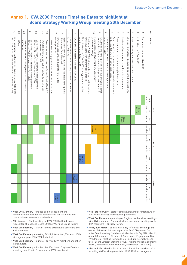#### **Annex 1. ICVA 2030 Process Timeline Dates to highlight at Board Strategy Working Group meeting 20th December**

|                        |                                                                                                                      |                | 2019                 |                  |                 |                | 2020           |                   |                |                       | 2021           |                |
|------------------------|----------------------------------------------------------------------------------------------------------------------|----------------|----------------------|------------------|-----------------|----------------|----------------|-------------------|----------------|-----------------------|----------------|----------------|
| Ref.                   | Tasks                                                                                                                | quarter<br>2nd | quarter<br>3rd       | quarter<br>$4th$ | quarter<br>ļSļ  | quarter<br>2nd | quarter<br>3rd | quarter<br>$4$ th | quarter<br>151 | quarter<br>2nd        | duarter<br>3rd | quarter<br>4th |
| $\rightarrow$          | Conceptualisation of ICVA 2030                                                                                       |                |                      |                  |                 |                |                |                   |                |                       |                |                |
| $\sim$                 | Kick off of the "ICVA 2030"                                                                                          |                | <b>Board</b><br>kinr |                  |                 |                |                |                   |                |                       |                |                |
| $\omega$               | Project planning and resource mobilisation                                                                           |                |                      |                  |                 |                |                |                   |                |                       |                |                |
| $\overline{r}$         | Sketch of disruptors, discussion papers, key questions                                                               |                |                      |                  |                 |                |                |                   |                |                       |                |                |
| G                      | Key issues/questions for membership engagement                                                                       |                |                      | Board<br>Nov.    |                 |                |                |                   |                |                       |                |                |
| $\circ$                | Development of communication platform tools                                                                          |                |                      |                  |                 |                |                |                   |                |                       |                |                |
| 7                      | and consultations with other stakeholders.<br>Scan the horizon through existing research, interviews                 |                |                      |                  |                 |                |                |                   |                |                       |                |                |
| $\infty$               | analysis for NGOs<br>ICVA members to share their future thoughts and                                                 |                |                      |                  |                 |                |                |                   |                |                       |                |                |
| P                      | ICVA members participate in collective analysis & other<br>contributions (digital material, blogs, written inputs)   |                |                      |                  |                 |                |                |                   |                |                       |                |                |
| $\vec{0}$              | (Memebrship Day)<br>Key milestone of ICVA member engagement                                                          |                |                      |                  | March<br>$\Box$ |                |                |                   |                |                       |                |                |
| $\equiv$               | for consultations with different target groups)<br>Drafting of "ICVA 2030" strategy document (with iterations        |                |                      |                  |                 |                |                |                   |                |                       |                |                |
| $\vec{z}$              | board for presentation to GA<br>Final draft of the "ICVA 2030" strategy adopted by the                               |                |                      |                  |                 |                |                | Board<br>5 Nov.   |                |                       |                |                |
| ಪ                      | ICVA General Assembly to adopt ICVA 2030                                                                             |                |                      |                  |                 |                |                |                   |                | <b>BA</b><br>27 April |                |                |
| $\overline{7}$         | ICVA board adopts a shorter "way forward" docuement<br>for period 2022-25                                            |                |                      |                  |                 |                |                |                   |                |                       |                |                |
| 긁                      | of members (at all issues)<br>Increase technology culture and facilitate participation                               |                |                      |                  |                 |                |                |                   |                |                       |                |                |
| $\vec{\triangleright}$ | Innovate approaches to illustrate /inform for<br>Strategic Vision                                                    |                |                      |                  |                 |                |                |                   |                |                       |                | Board<br>Nov.  |
| $\overline{L}$         | Private sector engagement - IMD-ICVA platform for Ceos                                                               |                |                      |                  |                 |                |                |                   |                |                       |                |                |
| $\vec{\infty}$         | Aidex Ethics and innovation leadership (event in Nov 2019)                                                           |                |                      |                  |                 |                |                |                   |                |                       |                |                |
| $\vec{0}$              | WEF/DAVOS innovation hub on SDG and humanitarian<br>action (event Jan 2020)                                          |                |                      |                  |                 |                |                |                   |                |                       |                |                |
| $\overline{0}$         | Business case for strengthening system platforms<br>Alliance 1 (Ground truth, Start network/ ICVA)                   |                |                      |                  |                 |                |                |                   |                |                       |                |                |
| $\overline{z}$         | Alliance 2 (SCHR, InterAction, Voice, ICVA)<br>Business case for strengthening system platforms<br>$\mathbf{r}$      |                |                      |                  |                 |                |                |                   |                |                       |                |                |
| 22                     | Architecture with ICVA engagement in Latin America<br>and Pacfic                                                     |                |                      |                  |                 |                |                |                   |                |                       |                |                |
| 23                     | <b>Others</b>                                                                                                        |                |                      |                  |                 |                |                |                   |                |                       |                |                |
| 77                     | incl. "ICVA 2030" (yearly case studies - Final Feb. 2022)<br>External impact evaluation on ICVA's strategy 2019-2021 |                |                      |                  |                 |                |                |                   |                |                       |                |                |

- Week 20th January finalise guiding document and communication package for membership consultations and consultation of external stakeholders.
- 28th January Staff meeting on ICVA 2030 (with Adrio and request for at least one Board Strategy Working Group to join)
- Week 3rd February start of filming external stakeholders and ICVA members
- Week 3rd February meeting SCHR, InterAction, Voice and ICVA with agenda point ICVA 2030 (date tbc)
- Week 3rd February launch of survey (ICVA members and other stakeholders)
- Week 3rd February finalise identification of "regional/national sounding board" (4 to 5 people form ICVA members)
- Week 3rd February start of external stakeholder interviews by ICVA Board Strategy Working Group members
- Week 3rd February planning of Regional and on-line meetings with ICVA members (2nd quarter) and one to one meetings with ICVA members (February to June)
- Friday 20th March at least half a day to "digest" meetings and events of the week influencing on ICVA 2030. "Digestion Day" (after Board Meeting (16th March), Membership Day (17th March), Annual Conference (18th March), Stakeholder Engagement Day (19th March). Meeting to include (on-line but preferably face to face): Board Strategy Working Group, "regional/national sounding board", Adrio/consultant (remotely), Secretariat (3 or 4 staff).
- 23rd and 24th March Staff retreat (all ICVA Secretariat staff including staff working remotely). ICVA 2030 on the agenda.